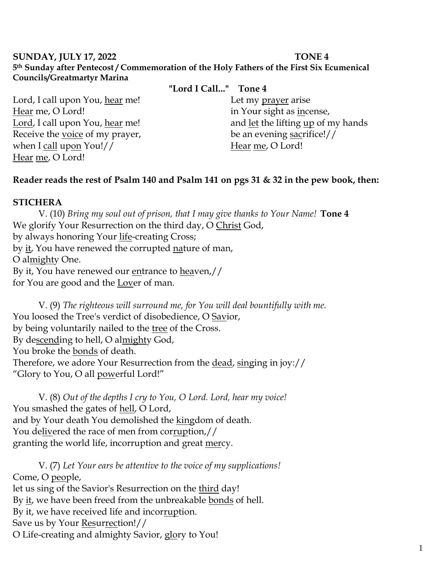### **SUNDAY, JULY 17, 2022 TONE 4 5th Sunday after Pentecost / Commemoration of the Holy Fathers of the First Six Ecumenical Councils/Greatmartyr Marina**

**"Lord I Call..." Tone 4**

Lord, I call upon You, hear me! Hear me, O Lord! Lord, I call upon You, hear me! Receive the voice of my prayer, when I call upon You!// Hear me, O Lord!

Let my prayer arise in Your sight as incense, and let the lifting up of my hands be an evening sacrifice!// Hear me, O Lord!

### **Reader reads the rest of Psalm 140 and Psalm 141 on pgs 31 & 32 in the pew book, then:**

#### **STICHERA**

V. (10) *Bring my soul out of prison, that I may give thanks to Your Name!* **Tone 4** We glorify Your Resurrection on the third day, O Christ God, by always honoring Your life-creating Cross; by it, You have renewed the corrupted nature of man, O almighty One. By it, You have renewed our entrance to heaven,// for You are good and the Lover of man.

V. (9) *The righteous will surround me, for You will deal bountifully with me.*  You loosed the Tree's verdict of disobedience, O Savior, by being voluntarily nailed to the tree of the Cross. By descending to hell, O almighty God, You broke the bonds of death. Therefore, we adore Your Resurrection from the dead, singing in joy:// "Glory to You, O all powerful Lord!"

V. (8) *Out of the depths I cry to You, O Lord. Lord, hear my voice!*  You smashed the gates of hell, O Lord, and by Your death You demolished the kingdom of death. You delivered the race of men from corruption,// granting the world life, incorruption and great mercy.

V. (7) *Let Your ears be attentive to the voice of my supplications!* Come, O people, let us sing of the Savior's Resurrection on the third day! By it, we have been freed from the unbreakable bonds of hell. By it, we have received life and incorruption. Save us by Your Resurrection!// O Life-creating and almighty Savior, glory to You!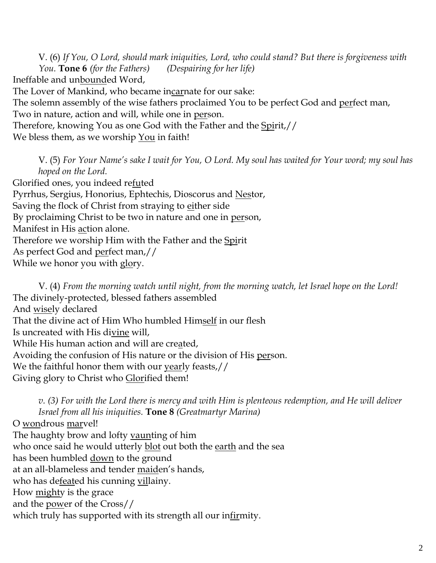V. (6) *If You, O Lord, should mark iniquities, Lord, who could stand? But there is forgiveness with You.* **Tone 6** *(for the Fathers) (Despairing for her life)* Ineffable and unbounded Word,

The Lover of Mankind, who became incarnate for our sake:

The solemn assembly of the wise fathers proclaimed You to be perfect God and perfect man,

Two in nature, action and will, while one in person.

Therefore, knowing You as one God with the Father and the Spirit,//

We bless them, as we worship You in faith!

V. (5) *For Your Name's sake I wait for You, O Lord. My soul has waited for Your word; my soul has hoped on the Lord.* 

Glorified ones, you indeed re<u>fu</u>ted Pyrrhus, Sergius, Honorius, Ephtechis, Dioscorus and Nestor, Saving the flock of Christ from straying to either side By proclaiming Christ to be two in nature and one in person, Manifest in His action alone. Therefore we worship Him with the Father and the Spirit As perfect God and perfect man,// While we honor you with glory.

V. (4) *From the morning watch until night, from the morning watch, let Israel hope on the Lord!*  The divinely-protected, blessed fathers assembled And wisely declared That the divine act of Him Who humbled Himself in our flesh Is uncreated with His divine will, While His human action and will are created, Avoiding the confusion of His nature or the division of His person. We the faithful honor them with our yearly feasts,// Giving glory to Christ who Glorified them!

*v. (3) For with the Lord there is mercy and with Him is plenteous redemption, and He will deliver Israel from all his iniquities.* **Tone 8** *(Greatmartyr Marina)* O wondrous marvel! The haughty brow and lofty vaunting of him who once said he would utterly blot out both the earth and the sea has been humbled down to the ground at an all-blameless and tender maiden's hands, who has defeated his cunning villainy. How mighty is the grace and the power of the Cross// which truly has supported with its strength all our infirmity.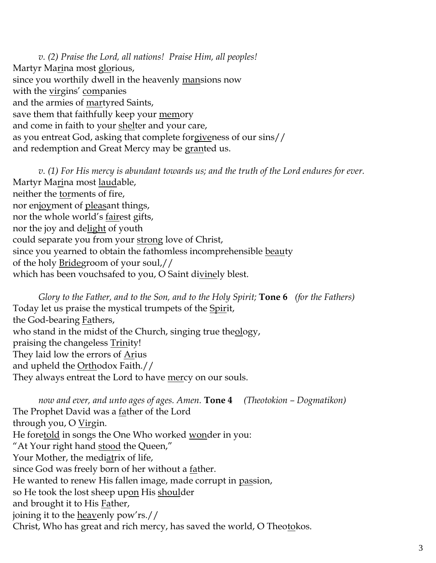*v. (2) Praise the Lord, all nations! Praise Him, all peoples!* Martyr Marina most glorious, since you worthily dwell in the heavenly mansions now with the virgins' companies and the armies of martyred Saints, save them that faithfully keep your memory and come in faith to your shelter and your care, as you entreat God, asking that complete forgiveness of our sins// and redemption and Great Mercy may be granted us.

*v. (1) For His mercy is abundant towards us; and the truth of the Lord endures for ever.*  Martyr Ma<u>ri</u>na most <u>laud</u>able, neither the torments of fire, nor enjoyment of pleasant things, nor the whole world's fairest gifts, nor the joy and delight of youth could separate you from your strong love of Christ, since you yearned to obtain the fathomless incomprehensible beauty of the holy Bridegroom of your soul,// which has been vouchsafed to you, O Saint divinely blest.

*Glory to the Father, and to the Son, and to the Holy Spirit;* **Tone 6** *(for the Fathers)* Today let us praise the mystical trumpets of the Spirit, the God-bearing Fathers, who stand in the midst of the Church, singing true theology, praising the changeless **Trinity!** They laid low the errors of Arius and upheld the Orthodox Faith.// They always entreat the Lord to have <u>mer</u>cy on our souls.

*now and ever, and unto ages of ages. Amen.* **Tone 4** *(Theotokion – Dogmatikon)* The Prophet David was a <u>fa</u>ther of the Lord through you, O Virgin. He foretold in songs the One Who worked wonder in you: "At Your right hand stood the Queen," Your Mother, the mediatrix of life, since God was freely born of her without a father. He wanted to renew His fallen image, made corrupt in passion, so He took the lost sheep upon His shoulder and brought it to His **Father**, joining it to the heavenly pow'rs.// Christ, Who has great and rich mercy, has saved the world, O Theotokos.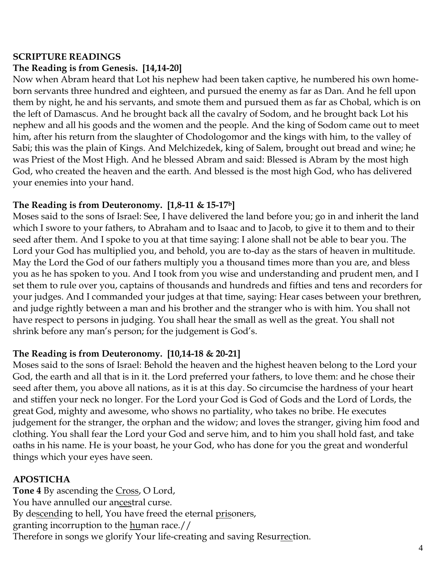### **SCRIPTURE READINGS The Reading is from Genesis. [14,14-20]**

Now when Abram heard that Lot his nephew had been taken captive, he numbered his own homeborn servants three hundred and eighteen, and pursued the enemy as far as Dan. And he fell upon them by night, he and his servants, and smote them and pursued them as far as Chobal, which is on the left of Damascus. And he brought back all the cavalry of Sodom, and he brought back Lot his nephew and all his goods and the women and the people. And the king of Sodom came out to meet him, after his return from the slaughter of Chodologomor and the kings with him, to the valley of Sabi; this was the plain of Kings. And Melchizedek, king of Salem, brought out bread and wine; he was Priest of the Most High. And he blessed Abram and said: Blessed is Abram by the most high God, who created the heaven and the earth. And blessed is the most high God, who has delivered your enemies into your hand.

## **The Reading is from Deuteronomy. [1,8-11 & 15-17b]**

Moses said to the sons of Israel: See, I have delivered the land before you; go in and inherit the land which I swore to your fathers, to Abraham and to Isaac and to Jacob, to give it to them and to their seed after them. And I spoke to you at that time saying: I alone shall not be able to bear you. The Lord your God has multiplied you, and behold, you are to-day as the stars of heaven in multitude. May the Lord the God of our fathers multiply you a thousand times more than you are, and bless you as he has spoken to you. And I took from you wise and understanding and prudent men, and I set them to rule over you, captains of thousands and hundreds and fifties and tens and recorders for your judges. And I commanded your judges at that time, saying: Hear cases between your brethren, and judge rightly between a man and his brother and the stranger who is with him. You shall not have respect to persons in judging. You shall hear the small as well as the great. You shall not shrink before any man's person; for the judgement is God's.

# **The Reading is from Deuteronomy. [10,14-18 & 20-21]**

Moses said to the sons of Israel: Behold the heaven and the highest heaven belong to the Lord your God, the earth and all that is in it. the Lord preferred your fathers, to love them: and he chose their seed after them, you above all nations, as it is at this day. So circumcise the hardness of your heart and stiffen your neck no longer. For the Lord your God is God of Gods and the Lord of Lords, the great God, mighty and awesome, who shows no partiality, who takes no bribe. He executes judgement for the stranger, the orphan and the widow; and loves the stranger, giving him food and clothing. You shall fear the Lord your God and serve him, and to him you shall hold fast, and take oaths in his name. He is your boast, he your God, who has done for you the great and wonderful things which your eyes have seen.

## **APOSTICHA**

**Tone 4** By ascending the Cross, O Lord, You have annulled our ancestral curse. By descending to hell, You have freed the eternal prisoners, granting incorruption to the <u>hu</u>man race.// Therefore in songs we glorify Your life-creating and saving Resurrection.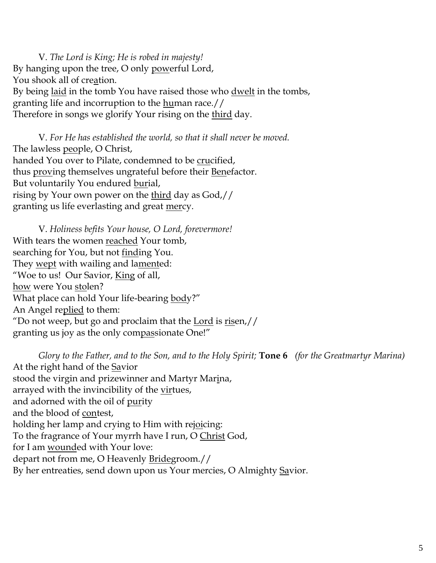V. *The Lord is King; He is robed in majesty!*  By hanging upon the tree, O only powerful Lord, You shook all of creation. By being <u>laid</u> in the tomb You have raised those who <u>dwelt</u> in the tombs, granting life and incorruption to the human race.// Therefore in songs we glorify Your rising on the third day.

V. *For He has established the world, so that it shall never be moved.* The lawless people, O Christ, handed You over to Pilate, condemned to be crucified, thus proving themselves ungrateful before their Benefactor. But voluntarily You endured burial, rising by Your own power on the third day as God,// granting us life everlasting and great <u>mer</u>cy.

V. *Holiness befits Your house, O Lord, forevermore!*  With tears the women reached Your tomb, searching for You, but not finding You. They wept with wailing and lamented: "Woe to us! Our Savior, King of all, how were You stolen? What place can hold Your life-bearing body?" An Angel replied to them: "Do not weep, but go and proclaim that the Lord is  $risen$ ,// granting us joy as the only compassionate One!"

*Glory to the Father, and to the Son, and to the Holy Spirit;* **Tone 6** *(for the Greatmartyr Marina)* At the right hand of the Savior stood the virgin and prizewinner and Martyr Marina, arrayed with the invincibility of the virtues, and adorned with the oil of purity and the blood of contest, holding her lamp and crying to Him with rejoicing: To the fragrance of Your myrrh have I run, O Christ God, for I am wounded with Your love: depart not from me, O Heavenly Bridegroom.// By her entreaties, send down upon us Your mercies, O Almighty Savior.